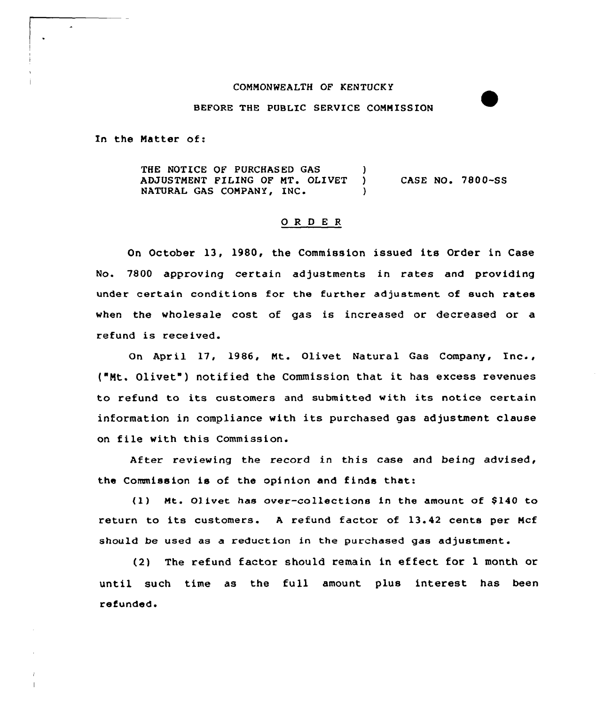## COMMONWEALTH OF KENTUCKY

## BEFORE THE PUBLIC SERUICE COMMISSION

In the Matter of:

 $\ddot{\phantom{0}}$ 

THE NOTICE OF PURCHASED GAS )<br>ADJUSTMENT FILING OF MT. OLIVET ) ADJUSTMENT FILING OF MT. OLIVET NATURAL GAS COMPANY, INC. CASE NO. 7800-SS

## 0 R <sup>D</sup> E <sup>R</sup>

On October 13, 1980, the Commission issued its Order in Case No. 7800 approving certain adjustments in rates and providing under certain conditions for the further adjustment of such rates when the wholesale cost of gas is increased or decreased or a refund is received.

On April 17, 1986, Mt. Olivet Natural Gas Company, Inc., ("Mt. Olivet") notified the Commission that it has excess revenues to refund to its customers and submitted with its notice certain information in compliance with its purchased gas adjustment clause on file with this Commission.

After reviewing the record in this case and being advised, the Commission is of the opinion and finds that:

(1) Mt. Olivet has over-collections in the amount of \$140 to return to its customers. <sup>A</sup> refund factor of 13.42 cents per Mcf should be used as a reduction in the purchased gas adjustment.

(2) The refund factor should remain in effect for 1 month or until such time as the full amount plus interest has been refunded.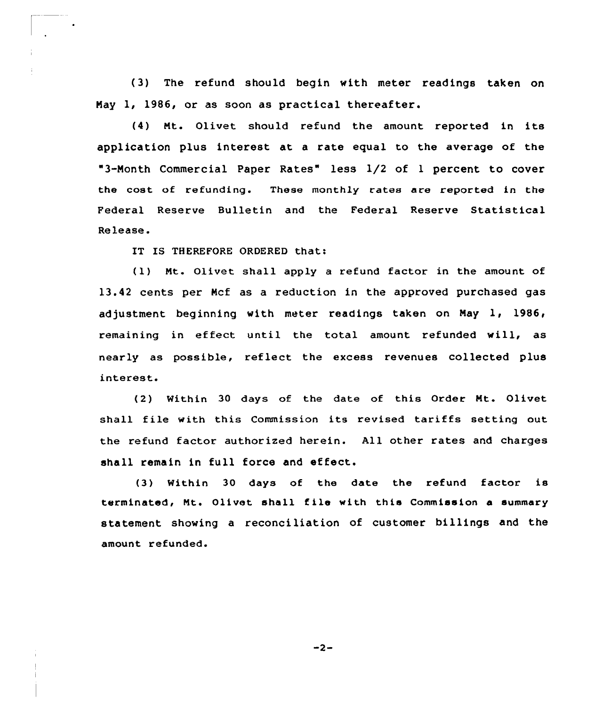(3) The refund should begin with meter readings taken on Nay 1, 1986, or as soon as practical thereafter.

(4) Nt. Olivet should refund the amount reported in its application plus interest at a rate equal to the average of the "3-Month Commercial Paper Rates" less 1/2 of <sup>1</sup> percent to cover the cost of refunding. These monthly rates are reported in the Federal Reserve Bulletin and the Federal Reserve Statistical Release.

IT IS THEREFORE ORDERED that:

(1) Nt. Olivet shall apply <sup>a</sup> refund factor in the amount of 13.42 cents per Ncf as a xeduction in the approved puxchased gas adjustment beginning with meter readings taken on May  $1, 1986,$ remaining in effect until the total amount refunded will, as nearly as possible, reflect the excess revenues collected plus interest.

(2) Within 30 days of the date of this Order Nt. Olivet shall file with this Commission its revised tariffs setting out the xefund factor authorized herein. All other rates and charges shall remain in full force and effect.

(3) Within 30 days of the date the refund factor is terminated, Mt. Olivet shall file with this Commission a summary statement showing a reconciliation of customer billings and the amount refunded.

 $-2-$